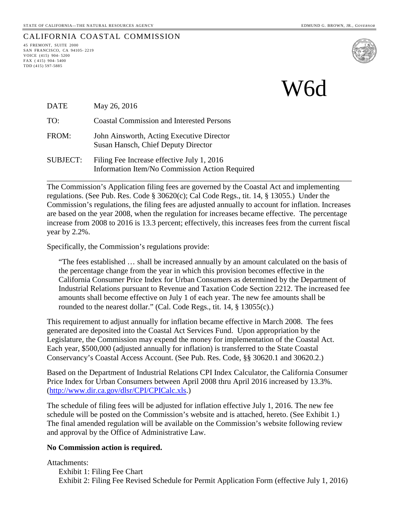45 FREMONT, SUITE 2000 SAN FRANCISCO, CA 94105- 2219 VOICE (415) 904- 5200 FAX ( 415) 904- 5400 TDD (415) 597-5885

CALIFORNIA COASTAL COMMISSION

W6d

| <b>DATE</b>     | May 26, 2016                                                                                 |
|-----------------|----------------------------------------------------------------------------------------------|
| TO:             | <b>Coastal Commission and Interested Persons</b>                                             |
| FROM:           | John Ainsworth, Acting Executive Director<br>Susan Hansch, Chief Deputy Director             |
| <b>SUBJECT:</b> | Filing Fee Increase effective July 1, 2016<br>Information Item/No Commission Action Required |

The Commission's Application filing fees are governed by the Coastal Act and implementing regulations. (See Pub. Res. Code § 30620(c); Cal Code Regs., tit. 14, § 13055.) Under the Commission's regulations, the filing fees are adjusted annually to account for inflation. Increases are based on the year 2008, when the regulation for increases became effective. The percentage increase from 2008 to 2016 is 13.3 percent; effectively, this increases fees from the current fiscal year by 2.2%.

\_\_\_\_\_\_\_\_\_\_\_\_\_\_\_\_\_\_\_\_\_\_\_\_\_\_\_\_\_\_\_\_\_\_\_\_\_\_\_\_\_\_\_\_\_\_\_\_\_\_\_\_\_\_\_\_\_\_\_\_\_\_\_\_\_\_\_\_\_\_\_\_\_\_\_\_\_\_

Specifically, the Commission's regulations provide:

"The fees established … shall be increased annually by an amount calculated on the basis of the percentage change from the year in which this provision becomes effective in the California Consumer Price Index for Urban Consumers as determined by the Department of Industrial Relations pursuant to Revenue and Taxation Code Section 2212. The increased fee amounts shall become effective on July 1 of each year. The new fee amounts shall be rounded to the nearest dollar." (Cal. Code Regs., tit. 14, § 13055(c).)

This requirement to adjust annually for inflation became effective in March 2008. The fees generated are deposited into the Coastal Act Services Fund. Upon appropriation by the Legislature, the Commission may expend the money for implementation of the Coastal Act. Each year, \$500,000 (adjusted annually for inflation) is transferred to the State Coastal Conservancy's Coastal Access Account. (See Pub. Res. Code, §§ 30620.1 and 30620.2.)

Based on the Department of Industrial Relations CPI Index Calculator, the California Consumer Price Index for Urban Consumers between April 2008 thru April 2016 increased by 13.3%. [\(http://www.dir.ca.gov/dlsr/CPI/CPICalc.xls.](http://www.dir.ca.gov/dlsr/CPI/CPICalc.xls))

The schedule of filing fees will be adjusted for inflation effective July 1, 2016. The new fee schedule will be posted on the Commission's website and is attached, hereto. (See Exhibit 1.) The final amended regulation will be available on the Commission's website following review and approval by the Office of Administrative Law.

#### **No Commission action is required.**

Attachments:

Exhibit 1: Filing Fee Chart Exhibit 2: Filing Fee Revised Schedule for Permit Application Form (effective July 1, 2016)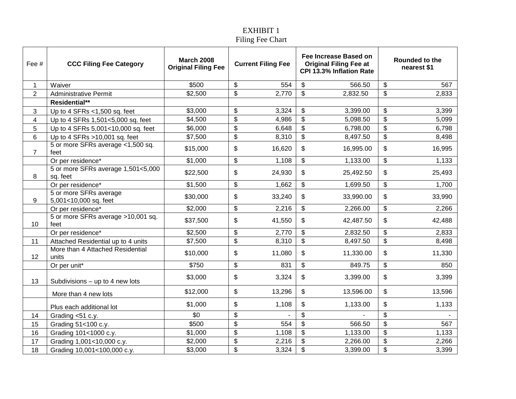### EXHIBIT 1 Filing Fee Chart

| Fee #          | <b>CCC Filing Fee Category</b>                  | <b>March 2008</b><br><b>Original Filing Fee</b> | <b>Current Filing Fee</b> |        |                           |           |                           |        |  | <b>Fee Increase Based on</b><br><b>Original Filing Fee at</b><br>CPI 13.3% Inflation Rate |  | <b>Rounded to the</b><br>nearest \$1 |
|----------------|-------------------------------------------------|-------------------------------------------------|---------------------------|--------|---------------------------|-----------|---------------------------|--------|--|-------------------------------------------------------------------------------------------|--|--------------------------------------|
| 1              | Waiver                                          | \$500                                           | \$                        | 554    | \$                        | 566.50    | \$                        | 567    |  |                                                                                           |  |                                      |
| $\overline{2}$ | <b>Administrative Permit</b>                    | \$2,500                                         | \$                        | 2,770  | $\boldsymbol{\mathsf{S}}$ | 2,832.50  | \$                        | 2,833  |  |                                                                                           |  |                                      |
|                | Residential**                                   |                                                 |                           |        |                           |           |                           |        |  |                                                                                           |  |                                      |
| 3              | Up to 4 SFRs $<$ 1,500 sq. feet                 | \$3,000                                         | \$                        | 3,324  | \$                        | 3,399.00  | \$                        | 3,399  |  |                                                                                           |  |                                      |
| 4              | Up to 4 SFRs 1,501<5,000 sq. feet               | \$4,500                                         | $\boldsymbol{\mathsf{S}}$ | 4,986  | $\overline{\mathcal{S}}$  | 5,098.50  | $\overline{\mathbf{S}}$   | 5,099  |  |                                                                                           |  |                                      |
| 5              | Up to 4 SFRs 5,001<10,000 sq. feet              | \$6,000                                         | $\boldsymbol{\theta}$     | 6,648  | \$                        | 6,798.00  | $\boldsymbol{\mathsf{S}}$ | 6,798  |  |                                                                                           |  |                                      |
| 6              | Up to 4 SFRs >10,001 sq. feet                   | \$7,500                                         | \$                        | 8,310  | \$                        | 8,497.50  | \$                        | 8,498  |  |                                                                                           |  |                                      |
| $\overline{7}$ | 5 or more SFRs average <1,500 sq.<br>feet       | \$15,000                                        | \$                        | 16,620 | \$                        | 16,995.00 | \$                        | 16,995 |  |                                                                                           |  |                                      |
|                | Or per residence*                               | \$1,000                                         | \$                        | 1,108  | \$                        | 1,133.00  | \$                        | 1,133  |  |                                                                                           |  |                                      |
| 8              | 5 or more SFRs average 1,501<5,000<br>sq. feet  | \$22,500                                        | \$                        | 24,930 | \$                        | 25,492.50 | \$                        | 25,493 |  |                                                                                           |  |                                      |
|                | Or per residence*                               | \$1,500                                         | \$                        | 1,662  | \$                        | 1,699.50  | \$                        | 1,700  |  |                                                                                           |  |                                      |
| 9              | 5 or more SFRs average<br>5,001<10,000 sq. feet | \$30,000                                        | \$                        | 33,240 | \$                        | 33,990.00 | \$                        | 33,990 |  |                                                                                           |  |                                      |
|                | Or per residence*                               | \$2,000                                         | \$                        | 2,216  | \$                        | 2,266.00  | \$                        | 2,266  |  |                                                                                           |  |                                      |
| 10             | 5 or more SFRs average >10,001 sq.<br>feet      | \$37,500                                        | \$                        | 41,550 | \$                        | 42,487.50 | \$                        | 42,488 |  |                                                                                           |  |                                      |
|                | Or per residence*                               | \$2,500                                         | \$                        | 2,770  | \$                        | 2,832.50  | \$                        | 2,833  |  |                                                                                           |  |                                      |
| 11             | Attached Residential up to 4 units              | \$7,500                                         | \$                        | 8,310  | $\overline{\mathcal{S}}$  | 8,497.50  | $\overline{\mathbf{e}}$   | 8,498  |  |                                                                                           |  |                                      |
| 12             | More than 4 Attached Residential<br>units       | \$10,000                                        | \$                        | 11,080 | \$                        | 11,330.00 | \$                        | 11,330 |  |                                                                                           |  |                                      |
|                | Or per unit*                                    | \$750                                           | \$                        | 831    | \$                        | 849.75    | \$                        | 850    |  |                                                                                           |  |                                      |
| 13             | Subdivisions $-$ up to 4 new lots               | \$3,000                                         | \$                        | 3,324  | \$                        | 3,399.00  | \$                        | 3,399  |  |                                                                                           |  |                                      |
|                | More than 4 new lots                            | \$12,000                                        | \$                        | 13,296 | \$                        | 13,596.00 | \$                        | 13,596 |  |                                                                                           |  |                                      |
|                | Plus each additional lot                        | \$1,000                                         | \$                        | 1,108  | \$                        | 1,133.00  | \$                        | 1,133  |  |                                                                                           |  |                                      |
| 14             | Grading <51 c.y.                                | \$0                                             | $\boldsymbol{\theta}$     |        | \$                        |           | \$                        |        |  |                                                                                           |  |                                      |
| 15             | Grading 51<100 c.y.                             | \$500                                           | \$                        | 554    | $\overline{\mathbf{S}}$   | 566.50    | $\overline{\mathbf{e}}$   | 567    |  |                                                                                           |  |                                      |
| 16             | Grading 101<1000 c.y.                           | \$1,000                                         | \$                        | 1,108  | $\$\$                     | 1,133.00  | $\overline{\mathbf{e}}$   | 1,133  |  |                                                                                           |  |                                      |
| 17             | Grading 1,001<10,000 c.y.                       | \$2,000                                         | $\overline{\mathbf{S}}$   | 2,216  | $\overline{\mathbf{S}}$   | 2,266.00  | $\overline{\mathbf{e}}$   | 2,266  |  |                                                                                           |  |                                      |
| 18             | Grading 10,001<100,000 c.y.                     | \$3,000                                         | \$                        | 3,324  | \$                        | 3,399.00  | \$                        | 3,399  |  |                                                                                           |  |                                      |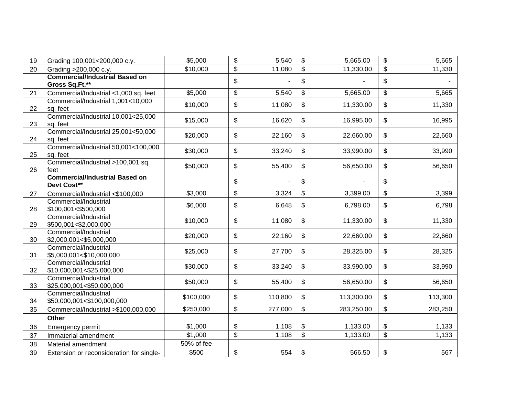| 19 | Grading 100,001<200,000 c.y.                            | \$5,000    | \$                         | 5,540   | \$                        | 5,665.00   | \$<br>5,665   |
|----|---------------------------------------------------------|------------|----------------------------|---------|---------------------------|------------|---------------|
| 20 | Grading >200,000 c.y.                                   | \$10,000   | \$                         | 11,080  | \$                        | 11,330.00  | \$<br>11,330  |
|    | <b>Commercial/Industrial Based on</b><br>Gross Sq.Ft.** |            | \$                         |         | \$                        |            | \$            |
| 21 | Commercial/Industrial <1,000 sq. feet                   | \$5,000    | \$                         | 5,540   | \$                        | 5,665.00   | \$<br>5,665   |
| 22 | Commercial/Industrial 1,001<10,000<br>sq. feet          | \$10,000   | \$                         | 11,080  | \$                        | 11,330.00  | \$<br>11,330  |
| 23 | Commercial/Industrial 10,001<25,000<br>sq. feet         | \$15,000   | \$                         | 16,620  | \$                        | 16,995.00  | \$<br>16,995  |
| 24 | Commercial/Industrial 25,001<50,000<br>sq. feet         | \$20,000   | $\,$                       | 22,160  | \$                        | 22,660.00  | \$<br>22,660  |
| 25 | Commercial/Industrial 50,001<100,000<br>sq. feet        | \$30,000   | \$                         | 33,240  | \$                        | 33,990.00  | \$<br>33,990  |
| 26 | Commercial/Industrial >100,001 sq.<br>feet              | \$50,000   | \$                         | 55,400  | \$                        | 56,650.00  | \$<br>56,650  |
|    | <b>Commercial/Industrial Based on</b><br>Devt Cost**    |            | \$                         |         | \$                        |            | \$            |
| 27 | Commercial/Industrial <\$100,000                        | \$3,000    | \$                         | 3,324   | \$                        | 3,399.00   | \$<br>3,399   |
| 28 | Commercial/Industrial<br>\$100,001<\$500,000            | \$6,000    | \$                         | 6,648   | \$                        | 6,798.00   | \$<br>6,798   |
| 29 | Commercial/Industrial<br>\$500,001<\$2,000,000          | \$10,000   | $\boldsymbol{\mathsf{\$}}$ | 11,080  | \$                        | 11,330.00  | \$<br>11,330  |
| 30 | Commercial/Industrial<br>\$2,000,001<\$5,000,000        | \$20,000   | \$                         | 22,160  | \$                        | 22,660.00  | \$<br>22,660  |
| 31 | Commercial/Industrial<br>\$5,000,001<\$10,000,000       | \$25,000   | \$                         | 27,700  | \$                        | 28,325.00  | \$<br>28,325  |
| 32 | Commercial/Industrial<br>\$10,000,001<\$25,000,000      | \$30,000   | \$                         | 33,240  | \$                        | 33,990.00  | \$<br>33,990  |
| 33 | Commercial/Industrial<br>\$25,000,001<\$50,000,000      | \$50,000   | \$                         | 55,400  | \$                        | 56,650.00  | \$<br>56,650  |
| 34 | Commercial/Industrial<br>\$50,000,001<\$100,000,000     | \$100,000  | \$                         | 110,800 | $\frac{1}{2}$             | 113,300.00 | \$<br>113,300 |
| 35 | Commercial/Industrial >\$100,000,000                    | \$250,000  | $\boldsymbol{\mathsf{S}}$  | 277,000 | \$                        | 283,250.00 | \$<br>283,250 |
|    | <b>Other</b>                                            |            |                            |         |                           |            |               |
| 36 | Emergency permit                                        | \$1,000    | $\boldsymbol{\mathsf{S}}$  | 1,108   | \$                        | 1,133.00   | \$<br>1,133   |
| 37 | Immaterial amendment                                    | \$1,000    | \$                         | 1,108   | \$                        | 1,133.00   | \$<br>1,133   |
| 38 | Material amendment                                      | 50% of fee |                            |         |                           |            |               |
| 39 | Extension or reconsideration for single-                | \$500      | \$                         | 554     | $\boldsymbol{\mathsf{S}}$ | 566.50     | \$<br>567     |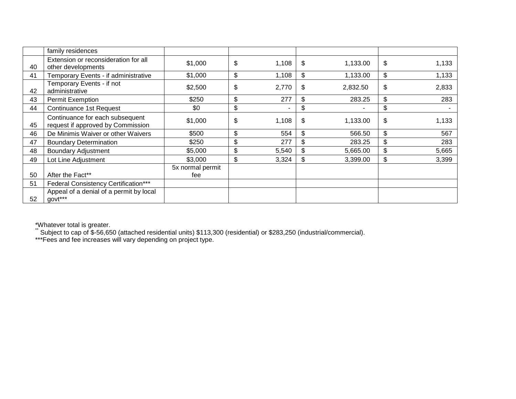|    | family residences                                                    |                         |             |    |          |             |
|----|----------------------------------------------------------------------|-------------------------|-------------|----|----------|-------------|
| 40 | Extension or reconsideration for all<br>other developments           | \$1,000                 | \$<br>1,108 | \$ | 1,133.00 | \$<br>1,133 |
| 41 | Temporary Events - if administrative                                 | \$1,000                 | \$<br>1,108 | \$ | 1,133.00 | \$<br>1,133 |
| 42 | Temporary Events - if not<br>administrative                          | \$2,500                 | \$<br>2,770 | \$ | 2,832.50 | \$<br>2,833 |
| 43 | Permit Exemption                                                     | \$250                   | \$<br>277   | \$ | 283.25   | \$<br>283   |
| 44 | Continuance 1st Request                                              | \$0                     | \$          | \$ | ۰        | \$          |
| 45 | Continuance for each subsequent<br>request if approved by Commission | \$1,000                 | \$<br>1,108 | S. | 1,133.00 | \$<br>1,133 |
| 46 | De Minimis Waiver or other Waivers                                   | \$500                   | \$<br>554   | \$ | 566.50   | \$<br>567   |
| 47 | <b>Boundary Determination</b>                                        | \$250                   | \$<br>277   | \$ | 283.25   | \$<br>283   |
| 48 | <b>Boundary Adjustment</b>                                           | \$5,000                 | \$<br>5,540 | \$ | 5,665.00 | \$<br>5,665 |
| 49 | Lot Line Adjustment                                                  | \$3,000                 | \$<br>3,324 | \$ | 3,399.00 | \$<br>3,399 |
| 50 | After the Fact**                                                     | 5x normal permit<br>fee |             |    |          |             |
| 51 | Federal Consistency Certification***                                 |                         |             |    |          |             |
| 52 | Appeal of a denial of a permit by local<br>govt***                   |                         |             |    |          |             |

\*Whatever total is greater.<br>\*\* Subject to cap of \$-56,650 (attached residential units) \$113,300 (residential) or \$283,250 (industrial/commercial).

\*\*\*Fees and fee increases will vary depending on project type.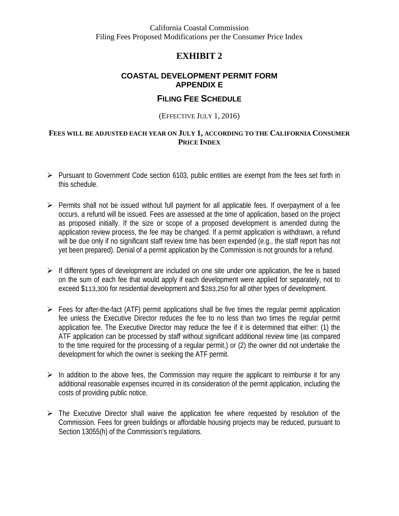California Coastal Commission Filing Fees Proposed Modifications per the Consumer Price Index

# **EXHIBIT 2**

### **COASTAL DEVELOPMENT PERMIT FORM APPENDIX E**

# **FILING FEE SCHEDULE**

#### (EFFECTIVE JULY 1, 2016)

#### **FEES WILL BE ADJUSTED EACH YEAR ON JULY 1, ACCORDING TO THE CALIFORNIA CONSUMER PRICE INDEX**

- $\triangleright$  Pursuant to Government Code section 6103, public entities are exempt from the fees set forth in this schedule.
- $\triangleright$  Permits shall not be issued without full payment for all applicable fees. If overpayment of a fee occurs, a refund will be issued. Fees are assessed at the time of application, based on the project as proposed initially. If the size or scope of a proposed development is amended during the application review process, the fee may be changed. If a permit application is withdrawn, a refund will be due only if no significant staff review time has been expended (e.g., the staff report has not yet been prepared). Denial of a permit application by the Commission is not grounds for a refund.
- $\triangleright$  If different types of development are included on one site under one application, the fee is based on the sum of each fee that would apply if each development were applied for separately, not to exceed \$113,300 for residential development and \$283,250 for all other types of development.
- $\triangleright$  Fees for after-the-fact (ATF) permit applications shall be five times the regular permit application fee unless the Executive Director reduces the fee to no less than two times the regular permit application fee. The Executive Director may reduce the fee if it is determined that either: (1) the ATF application can be processed by staff without significant additional review time (as compared to the time required for the processing of a regular permit,) or (2) the owner did not undertake the development for which the owner is seeking the ATF permit.
- $\triangleright$  In addition to the above fees, the Commission may require the applicant to reimburse it for any additional reasonable expenses incurred in its consideration of the permit application, including the costs of providing public notice.
- $\triangleright$  The Executive Director shall waive the application fee where requested by resolution of the Commission. Fees for green buildings or affordable housing projects may be reduced, pursuant to Section 13055(h) of the Commission's regulations.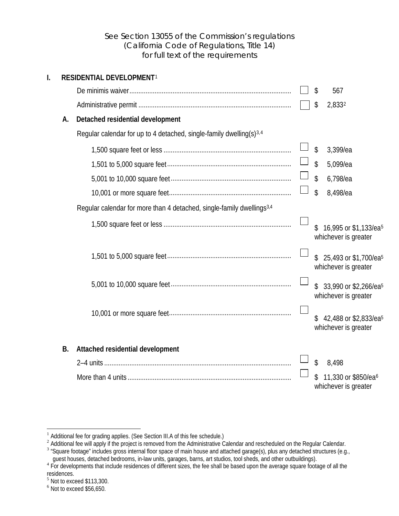### <span id="page-5-2"></span><span id="page-5-1"></span><span id="page-5-0"></span>See Section 13055 of the Commission's regulations (California Code of Regulations, Title 14) for full text of the requirements

| I. |           | <b>RESIDENTIAL DEVELOPMENT1</b>                                                   |    |                                                           |
|----|-----------|-----------------------------------------------------------------------------------|----|-----------------------------------------------------------|
|    |           |                                                                                   | \$ | 567                                                       |
|    |           |                                                                                   | \$ | 2,8332                                                    |
|    | A.        | Detached residential development                                                  |    |                                                           |
|    |           | Regular calendar for up to 4 detached, single-family dwelling(s) <sup>3,4</sup>   |    |                                                           |
|    |           |                                                                                   | \$ | 3,399/ea                                                  |
|    |           |                                                                                   | \$ | 5,099/ea                                                  |
|    |           |                                                                                   | \$ | 6,798/ea                                                  |
|    |           |                                                                                   | \$ | 8,498/ea                                                  |
|    |           | Regular calendar for more than 4 detached, single-family dwellings <sup>3,4</sup> |    |                                                           |
|    |           |                                                                                   |    | 16,995 or \$1,133/ea <sup>5</sup><br>whichever is greater |
|    |           |                                                                                   |    | 25,493 or \$1,700/ea <sup>5</sup><br>whichever is greater |
|    |           |                                                                                   |    | 33,990 or \$2,266/ea <sup>5</sup><br>whichever is greater |
|    |           |                                                                                   |    | 42,488 or \$2,833/ea <sup>5</sup><br>whichever is greater |
|    | <b>B.</b> | Attached residential development                                                  |    |                                                           |
|    |           |                                                                                   | \$ | 8,498                                                     |
|    |           |                                                                                   |    | 11,330 or \$850/ea <sup>6</sup><br>whichever is greater   |

<span id="page-5-3"></span> $\overline{a}$ 

<sup>&</sup>lt;sup>1</sup> Additional fee for grading applies. (See Section III.A of this fee schedule.)<br><sup>2</sup> Additional fee will apply if the project is removed from the Administrative Calendar and rescheduled on the Regular Calendar.

<span id="page-5-4"></span> $3$  "Square footage" includes gross internal floor space of main house and attached garage(s), plus any detached structures (e.g.,

<span id="page-5-6"></span><span id="page-5-5"></span>guest houses, detached bedrooms, in-law units, garages, barns, art studios, tool sheds, and other outbuildings).<br><sup>4</sup> For developments that include residences of different sizes, the fee shall be based upon the average squa

<span id="page-5-8"></span><span id="page-5-7"></span> $\frac{5}{6}$  Not to exceed \$113,300.<br> $\frac{6}{6}$  Not to exceed \$56,650.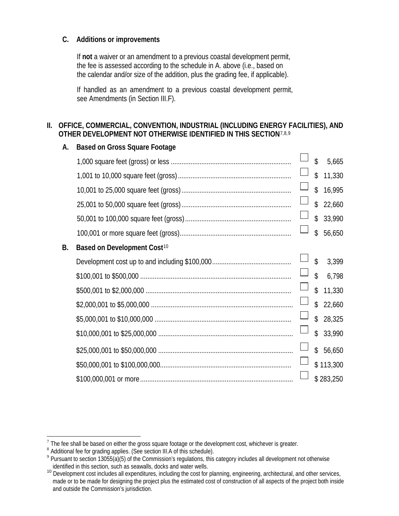### **C. Additions or improvements**

If **not** a waiver or an amendment to a previous coastal development permit, the fee is assessed according to the schedule in A. above (i.e., based on the calendar and/or size of the addition, plus the grading fee, if applicable).

If handled as an amendment to a previous coastal development permit, see Amendments (in Section III.F).

### **II. OFFICE, COMMERCIAL, CONVENTION, INDUSTRIAL (INCLUDING ENERGY FACILITIES), AND OTHER DEVELOPMENT NOT OTHERWISE IDENTIFIED IN THIS SECTION**[7,](#page-6-0)[8,](#page-6-1)[9](#page-6-2)

| А.        | <b>Based on Gross Square Footage</b>    |        |                    |           |
|-----------|-----------------------------------------|--------|--------------------|-----------|
|           |                                         |        | $\mathbf{\hat{z}}$ | 5,665     |
|           |                                         |        | $\mathcal{L}$      | 11,330    |
|           |                                         |        | $\mathcal{L}$      | 16,995    |
|           |                                         |        | $\mathcal{L}$      | 22,660    |
|           |                                         |        | $\mathsf{\$}$      | 33,990    |
|           |                                         |        | $\mathbf{\hat{S}}$ | 56,650    |
| <b>B.</b> | Based on Development Cost <sup>10</sup> |        |                    |           |
|           |                                         |        | $\mathbf{\hat{S}}$ | 3,399     |
|           |                                         |        | $\mathsf{\$}$      | 6,798     |
|           |                                         |        | $\mathcal{S}$      | 11,330    |
|           |                                         | $\Box$ | $\mathcal{L}$      | 22,660    |
|           |                                         |        | $\mathbb{S}$       | 28,325    |
|           |                                         |        | $\mathcal{S}$      | 33,990    |
|           |                                         |        | $\mathcal{L}$      | 56,650    |
|           |                                         |        |                    | \$113,300 |
|           |                                         |        |                    | \$283,250 |

 $^7$  The fee shall be based on either the gross square footage or the development cost, whichever is greater.<br><sup>8</sup> Additional fee for grading applies. (See section III.A of this schedule).

 $\overline{a}$ 

<span id="page-6-2"></span><span id="page-6-1"></span><span id="page-6-0"></span><sup>9</sup> Pursuant to section 13055(a)(5) of the Commission's regulations, this category includes all development not otherwise identified in this section, such as seawalls, docks and water wells.

<span id="page-6-3"></span><sup>&</sup>lt;sup>10</sup> Development cost includes all expenditures, including the cost for planning, engineering, architectural, and other services, made or to be made for designing the project plus the estimated cost of construction of all aspects of the project both inside and outside the Commission's jurisdiction.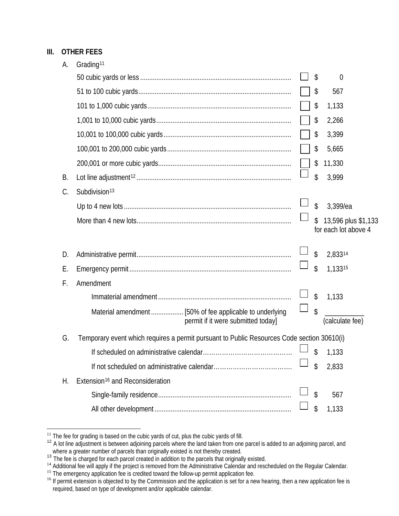## **III. OTHER FEES**

| А. | Grading <sup>11</sup>                                                                      |        |                            |                                             |
|----|--------------------------------------------------------------------------------------------|--------|----------------------------|---------------------------------------------|
|    |                                                                                            |        | \$                         | 0                                           |
|    |                                                                                            |        | \$                         | 567                                         |
|    |                                                                                            |        | \$                         | 1,133                                       |
|    |                                                                                            |        | \$                         | 2,266                                       |
|    |                                                                                            |        | \$                         | 3,399                                       |
|    |                                                                                            |        | \$                         | 5,665                                       |
|    |                                                                                            |        | \$                         | 11,330                                      |
| В. |                                                                                            |        | \$                         | 3,999                                       |
| C. | Subdivision <sup>13</sup>                                                                  |        |                            |                                             |
|    |                                                                                            |        | \$                         | 3,399/ea                                    |
|    |                                                                                            |        | $\mathfrak{P}$             | 13,596 plus \$1,133<br>for each lot above 4 |
| D. |                                                                                            |        | $\boldsymbol{\mathsf{\$}}$ | 2,83314                                     |
| Е. |                                                                                            |        | \$                         | 1,13315                                     |
| F. | Amendment                                                                                  |        |                            |                                             |
|    |                                                                                            |        | \$                         | 1,133                                       |
|    | permit if it were submitted today]                                                         | $\Box$ | \$                         | (calculate fee)                             |
| G. | Temporary event which requires a permit pursuant to Public Resources Code section 30610(i) |        |                            |                                             |
|    |                                                                                            |        | \$                         |                                             |
|    |                                                                                            |        |                            | 1,133                                       |
|    |                                                                                            |        | \$                         | 2,833                                       |
| Н. | Extension <sup>16</sup> and Reconsideration                                                |        |                            |                                             |
|    |                                                                                            |        | \$                         | 567                                         |
|    |                                                                                            |        | \$                         | 1,133                                       |

 $\overline{a}$ 

<span id="page-7-1"></span><span id="page-7-0"></span><sup>&</sup>lt;sup>11</sup> The fee for grading is based on the cubic yards of cut, plus the cubic yards of fill.<br><sup>12</sup> A lot line adjustment is between adjoining parcels where the land taken from one parcel is added to an adjoining parcel, and

<span id="page-7-4"></span><span id="page-7-3"></span><span id="page-7-2"></span><sup>14</sup> Additional fee will apply if the project is removed from the Administrative Calendar and rescheduled on the Regular Calendar.<br>
<sup>15</sup> The emergency application fee is credited toward the follow-up permit application fee.<br>

<span id="page-7-5"></span>required, based on type of development and/or applicable calendar.